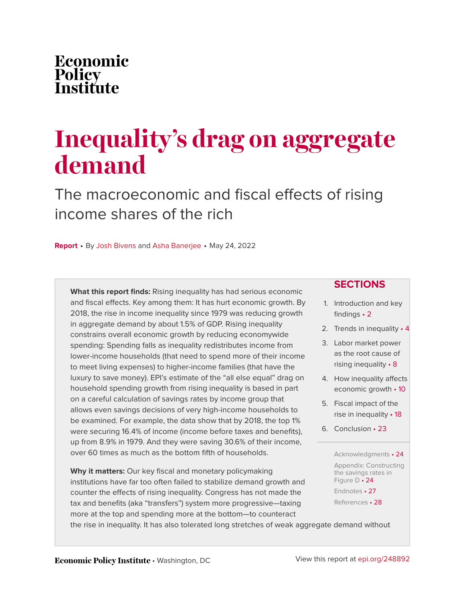# Economic Policy<br>Institute

# **Inequality's drag on aggregate demand**

The macroeconomic and fiscal effects of rising income shares of the rich

**Report** • By [Josh Bivens](https://www.epi.org/people/josh-bivens/) and [Asha Banerjee](https://www.epi.org/people/asha-banerjee/) • May 24, 2022

**What this report finds:** Rising inequality has had serious economic and fiscal effects. Key among them: It has hurt economic growth. By 2018, the rise in income inequality since 1979 was reducing growth in aggregate demand by about 1.5% of GDP. Rising inequality constrains overall economic growth by reducing economywide spending: Spending falls as inequality redistributes income from lower-income households (that need to spend more of their income to meet living expenses) to higher-income families (that have the luxury to save money). EPI's estimate of the "all else equal" drag on household spending growth from rising inequality is based in part on a careful calculation of savings rates by income group that allows even savings decisions of very high-income households to be examined. For example, the data show that by 2018, the top 1% were securing 16.4% of income (income before taxes and benefits), up from 8.9% in 1979. And they were saving 30.6% of their income, over 60 times as much as the bottom fifth of households.

**Why it matters:** Our key fiscal and monetary policymaking institutions have far too often failed to stabilize demand growth and counter the effects of rising inequality. Congress has not made the tax and benefits (aka "transfers") system more progressive—taxing more at the top and spending more at the bottom—to counteract

the rise in inequality. It has also tolerated long stretches of weak aggregate demand without

#### **SECTIONS**

- 1. [Introduction and key](#page-1-0) [findings](#page-1-0) • 2
- 2. [Trends in inequality](#page-3-0) 4
- 3. [Labor market power](#page-7-0) [as the root cause of](#page-7-0) [rising inequality](#page-7-0) • 8
- 4. [How inequality affects](#page-9-0) [economic growth](#page-9-0) • 10
- 5. [Fiscal impact of the](#page-17-0) [rise in inequality](#page-17-0) • 18
- 6. [Conclusion](#page-22-0) 23

#### [Acknowledgments](#page-23-0) • 24

[Appendix: Constructing](#page-23-1) [the savings rates in](#page-23-1) [Figure D](#page-23-1) • 24

[Endnotes](#page-26-0) • 27 [References](#page-27-0) • 28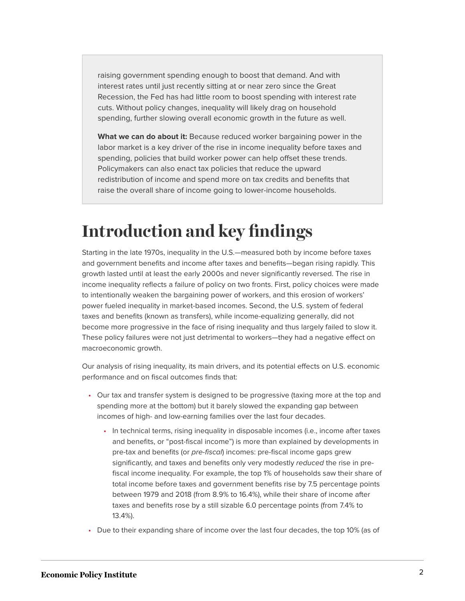raising government spending enough to boost that demand. And with interest rates until just recently sitting at or near zero since the Great Recession, the Fed has had little room to boost spending with interest rate cuts. Without policy changes, inequality will likely drag on household spending, further slowing overall economic growth in the future as well.

**What we can do about it:** Because reduced worker bargaining power in the labor market is a key driver of the rise in income inequality before taxes and spending, policies that build worker power can help offset these trends. Policymakers can also enact tax policies that reduce the upward redistribution of income and spend more on tax credits and benefits that raise the overall share of income going to lower-income households.

# <span id="page-1-0"></span>**Introduction and key findings**

Starting in the late 1970s, inequality in the U.S.—measured both by income before taxes and government benefits and income after taxes and benefits—began rising rapidly. This growth lasted until at least the early 2000s and never significantly reversed. The rise in income inequality reflects a failure of policy on two fronts. First, policy choices were made to intentionally weaken the bargaining power of workers, and this erosion of workers' power fueled inequality in market-based incomes. Second, the U.S. system of federal taxes and benefits (known as transfers), while income-equalizing generally, did not become more progressive in the face of rising inequality and thus largely failed to slow it. These policy failures were not just detrimental to workers—they had a negative effect on macroeconomic growth.

Our analysis of rising inequality, its main drivers, and its potential effects on U.S. economic performance and on fiscal outcomes finds that:

- Our tax and transfer system is designed to be progressive (taxing more at the top and spending more at the bottom) but it barely slowed the expanding gap between incomes of high- and low-earning families over the last four decades.
	- In technical terms, rising inequality in disposable incomes (i.e., income after taxes and benefits, or "post-fiscal income") is more than explained by developments in pre-tax and benefits (or pre-fiscal) incomes: pre-fiscal income gaps grew significantly, and taxes and benefits only very modestly reduced the rise in prefiscal income inequality. For example, the top 1% of households saw their share of total income before taxes and government benefits rise by 7.5 percentage points between 1979 and 2018 (from 8.9% to 16.4%), while their share of income after taxes and benefits rose by a still sizable 6.0 percentage points (from 7.4% to 13.4%).
- Due to their expanding share of income over the last four decades, the top 10% (as of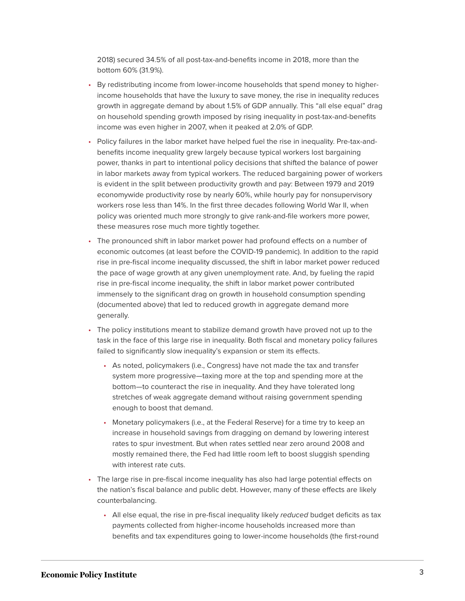2018) secured 34.5% of all post-tax-and-benefits income in 2018, more than the bottom 60% (31.9%).

- By redistributing income from lower-income households that spend money to higherincome households that have the luxury to save money, the rise in inequality reduces growth in aggregate demand by about 1.5% of GDP annually. This "all else equal" drag on household spending growth imposed by rising inequality in post-tax-and-benefits income was even higher in 2007, when it peaked at 2.0% of GDP.
- Policy failures in the labor market have helped fuel the rise in inequality. Pre-tax-andbenefits income inequality grew largely because typical workers lost bargaining power, thanks in part to intentional policy decisions that shifted the balance of power in labor markets away from typical workers. The reduced bargaining power of workers is evident in the split between productivity growth and pay: Between 1979 and 2019 economywide productivity rose by nearly 60%, while hourly pay for nonsupervisory workers rose less than 14%. In the first three decades following World War II, when policy was oriented much more strongly to give rank-and-file workers more power, these measures rose much more tightly together.
- The pronounced shift in labor market power had profound effects on a number of economic outcomes (at least before the COVID-19 pandemic). In addition to the rapid rise in pre-fiscal income inequality discussed, the shift in labor market power reduced the pace of wage growth at any given unemployment rate. And, by fueling the rapid rise in pre-fiscal income inequality, the shift in labor market power contributed immensely to the significant drag on growth in household consumption spending (documented above) that led to reduced growth in aggregate demand more generally.
- The policy institutions meant to stabilize demand growth have proved not up to the task in the face of this large rise in inequality. Both fiscal and monetary policy failures failed to significantly slow inequality's expansion or stem its effects.
	- As noted, policymakers (i.e., Congress) have not made the tax and transfer system more progressive—taxing more at the top and spending more at the bottom—to counteract the rise in inequality. And they have tolerated long stretches of weak aggregate demand without raising government spending enough to boost that demand.
	- Monetary policymakers (i.e., at the Federal Reserve) for a time try to keep an increase in household savings from dragging on demand by lowering interest rates to spur investment. But when rates settled near zero around 2008 and mostly remained there, the Fed had little room left to boost sluggish spending with interest rate cuts.
- The large rise in pre-fiscal income inequality has also had large potential effects on the nation's fiscal balance and public debt. However, many of these effects are likely counterbalancing.
	- All else equal, the rise in pre-fiscal inequality likely reduced budget deficits as tax payments collected from higher-income households increased more than benefits and tax expenditures going to lower-income households (the first-round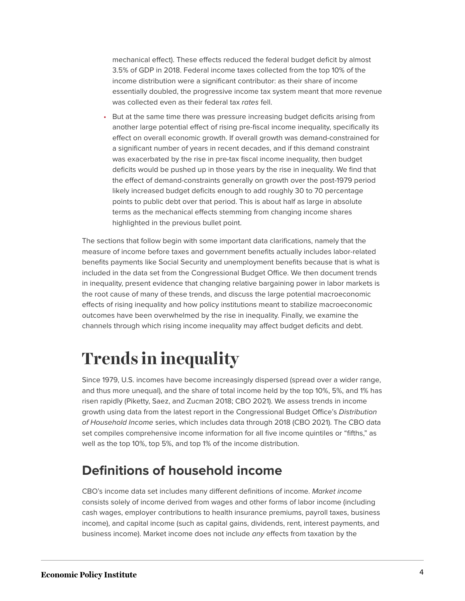mechanical effect). These effects reduced the federal budget deficit by almost 3.5% of GDP in 2018. Federal income taxes collected from the top 10% of the income distribution were a significant contributor: as their share of income essentially doubled, the progressive income tax system meant that more revenue was collected even as their federal tax rates fell.

• But at the same time there was pressure increasing budget deficits arising from another large potential effect of rising pre-fiscal income inequality, specifically its effect on overall economic growth. If overall growth was demand-constrained for a significant number of years in recent decades, and if this demand constraint was exacerbated by the rise in pre-tax fiscal income inequality, then budget deficits would be pushed up in those years by the rise in inequality. We find that the effect of demand-constraints generally on growth over the post-1979 period likely increased budget deficits enough to add roughly 30 to 70 percentage points to public debt over that period. This is about half as large in absolute terms as the mechanical effects stemming from changing income shares highlighted in the previous bullet point.

The sections that follow begin with some important data clarifications, namely that the measure of income before taxes and government benefits actually includes labor-related benefits payments like Social Security and unemployment benefits because that is what is included in the data set from the Congressional Budget Office. We then document trends in inequality, present evidence that changing relative bargaining power in labor markets is the root cause of many of these trends, and discuss the large potential macroeconomic effects of rising inequality and how policy institutions meant to stabilize macroeconomic outcomes have been overwhelmed by the rise in inequality. Finally, we examine the channels through which rising income inequality may affect budget deficits and debt.

# <span id="page-3-0"></span>**Trends in inequality**

Since 1979, U.S. incomes have become increasingly dispersed (spread over a wider range, and thus more unequal), and the share of total income held by the top 10%, 5%, and 1% has risen rapidly (Piketty, Saez, and Zucman 2018; CBO 2021). We assess trends in income growth using data from the latest report in the Congressional Budget Office's Distribution of Household Income series, which includes data through 2018 (CBO 2021). The CBO data set compiles comprehensive income information for all five income quintiles or "fifths," as well as the top 10%, top 5%, and top 1% of the income distribution.

## **Definitions of household income**

CBO's income data set includes many different definitions of income. Market income consists solely of income derived from wages and other forms of labor income (including cash wages, employer contributions to health insurance premiums, payroll taxes, business income), and capital income (such as capital gains, dividends, rent, interest payments, and business income). Market income does not include any effects from taxation by the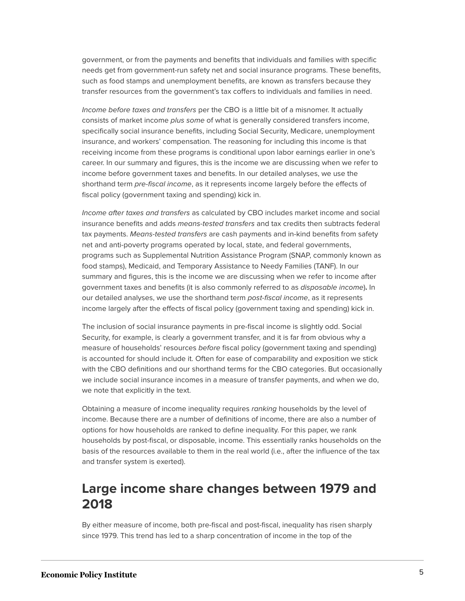government, or from the payments and benefits that individuals and families with specific needs get from government-run safety net and social insurance programs. These benefits, such as food stamps and unemployment benefits, are known as transfers because they transfer resources from the government's tax coffers to individuals and families in need.

Income before taxes and transfers per the CBO is a little bit of a misnomer. It actually consists of market income plus some of what is generally considered transfers income, specifically social insurance benefits, including Social Security, Medicare, unemployment insurance, and workers' compensation. The reasoning for including this income is that receiving income from these programs is conditional upon labor earnings earlier in one's career. In our summary and figures, this is the income we are discussing when we refer to income before government taxes and benefits. In our detailed analyses, we use the shorthand term pre-fiscal income, as it represents income largely before the effects of fiscal policy (government taxing and spending) kick in.

Income after taxes and transfers as calculated by CBO includes market income and social insurance benefits and adds means-tested transfers and tax credits then subtracts federal tax payments. Means-tested transfers are cash payments and in-kind benefits from safety net and anti-poverty programs operated by local, state, and federal governments, programs such as Supplemental Nutrition Assistance Program (SNAP, commonly known as food stamps), Medicaid, and Temporary Assistance to Needy Families (TANF). In our summary and figures, this is the income we are discussing when we refer to income after government taxes and benefits (it is also commonly referred to as disposable income)**.** In our detailed analyses, we use the shorthand term post-fiscal income, as it represents income largely after the effects of fiscal policy (government taxing and spending) kick in.

The inclusion of social insurance payments in pre-fiscal income is slightly odd. Social Security, for example, is clearly a government transfer, and it is far from obvious why a measure of households' resources before fiscal policy (government taxing and spending) is accounted for should include it. Often for ease of comparability and exposition we stick with the CBO definitions and our shorthand terms for the CBO categories. But occasionally we include social insurance incomes in a measure of transfer payments, and when we do, we note that explicitly in the text.

Obtaining a measure of income inequality requires ranking households by the level of income. Because there are a number of definitions of income, there are also a number of options for how households are ranked to define inequality. For this paper, we rank households by post-fiscal, or disposable, income. This essentially ranks households on the basis of the resources available to them in the real world (i.e., after the influence of the tax and transfer system is exerted).

## **Large income share changes between 1979 and 2018**

By either measure of income, both pre-fiscal and post-fiscal, inequality has risen sharply since 1979. This trend has led to a sharp concentration of income in the top of the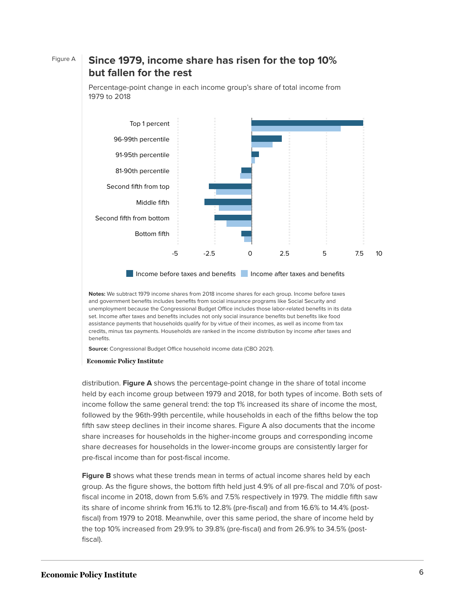### Figure A **Since 1979, income share has risen for the top 10% but fallen for the rest**



Percentage-point change in each income group's share of total income from 1979 to 2018

**Notes:** We subtract 1979 income shares from 2018 income shares for each group. Income before taxes and government benefits includes benefits from social insurance programs like Social Security and unemployment because the Congressional Budget Office includes those labor-related benefits in its data set. Income after taxes and benefits includes not only social insurance benefits but benefits like food assistance payments that households qualify for by virtue of their incomes, as well as income from tax credits, minus tax payments. Households are ranked in the income distribution by income after taxes and benefits.

**Source:** Congressional Budget Office household income data (CBO 2021).

#### **Economic Policy Institute**

distribution. **Figure A** shows the percentage-point change in the share of total income held by each income group between 1979 and 2018, for both types of income. Both sets of income follow the same general trend: the top 1% increased its share of income the most, followed by the 96th-99th percentile, while households in each of the fifths below the top fifth saw steep declines in their income shares. Figure A also documents that the income share increases for households in the higher-income groups and corresponding income share decreases for households in the lower-income groups are consistently larger for pre-fiscal income than for post-fiscal income.

**Figure B** shows what these trends mean in terms of actual income shares held by each group. As the figure shows, the bottom fifth held just 4.9% of all pre-fiscal and 7.0% of postfiscal income in 2018, down from 5.6% and 7.5% respectively in 1979. The middle fifth saw its share of income shrink from 16.1% to 12.8% (pre-fiscal) and from 16.6% to 14.4% (postfiscal) from 1979 to 2018. Meanwhile, over this same period, the share of income held by the top 10% increased from 29.9% to 39.8% (pre-fiscal) and from 26.9% to 34.5% (postfiscal).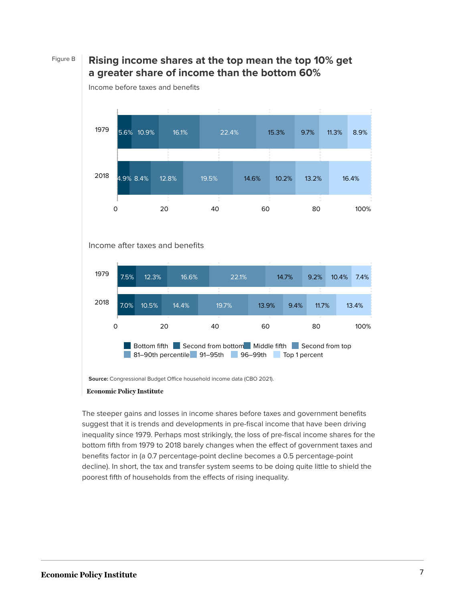### Figure B **Rising income shares at the top mean the top 10% get a greater share of income than the bottom 60%**

8.9% 16.4% 11.3% 13.2% 9.7% 10.2% 15.3% 14.6% 22.4% 19.5% 16.1% 12.8% 10.9% 5.6% 8.4% 4.9% 1979 2018 0 20 40 60 80 100%

Income before taxes and benefits





**Source:** Congressional Budget Office household income data (CBO 2021).

#### **Economic Policy Institute**

The steeper gains and losses in income shares before taxes and government benefits suggest that it is trends and developments in pre-fiscal income that have been driving inequality since 1979. Perhaps most strikingly, the loss of pre-fiscal income shares for the bottom fifth from 1979 to 2018 barely changes when the effect of government taxes and benefits factor in (a 0.7 percentage-point decline becomes a 0.5 percentage-point decline). In short, the tax and transfer system seems to be doing quite little to shield the poorest fifth of households from the effects of rising inequality.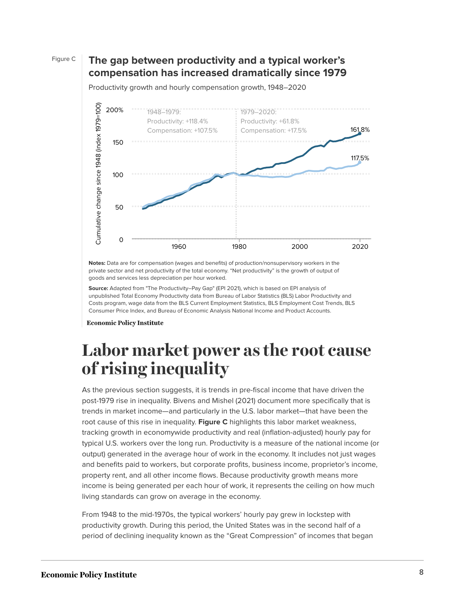## Figure C **The gap between productivity and a typical worker's compensation has increased dramatically since 1979**

Consumer Price Index, and Bureau of Economic Analysis National Income and Product Accounts.<br>
Compensation: 417.5%<br>
The metal of the metal of the control income and the product Accounts. Compensation: 417.5%<br>
The metal of t 161.8% 117.5% 1960 1980 2000 2020 0 50 100 150 200% 1948–1979: Productivity: +118.4% Compensation: +107.5% 1979–2020: Productivity: +61.8% Compensation: +17.5%

Productivity growth and hourly compensation growth, 1948–2020

**Notes:** Data are for compensation (wages and benefits) of production/nonsupervisory workers in the private sector and net productivity of the total economy. "Net productivity" is the growth of output of goods and services less depreciation per hour worked.

**Source:** Adapted from "The Productivity–Pay Gap" (EPI 2021), which is based on EPI analysis of unpublished Total Economy Productivity data from Bureau of Labor Statistics (BLS) Labor Productivity and Costs program, wage data from the BLS Current Employment Statistics, BLS Employment Cost Trends, BLS

**Economic Policy Institute** 

# <span id="page-7-0"></span>**Labor market power as the root cause of rising inequality**

As the previous section suggests, it is trends in pre-fiscal income that have driven the post-1979 rise in inequality. Bivens and Mishel (2021) document more specifically that is trends in market income—and particularly in the U.S. labor market—that have been the root cause of this rise in inequality. **Figure C** highlights this labor market weakness, tracking growth in economywide productivity and real (inflation-adjusted) hourly pay for typical U.S. workers over the long run. Productivity is a measure of the national income (or output) generated in the average hour of work in the economy. It includes not just wages and benefits paid to workers, but corporate profits, business income, proprietor's income, property rent, and all other income flows. Because productivity growth means more income is being generated per each hour of work, it represents the ceiling on how much living standards can grow on average in the economy.

From 1948 to the mid-1970s, the typical workers' hourly pay grew in lockstep with productivity growth. During this period, the United States was in the second half of a period of declining inequality known as the "Great Compression" of incomes that began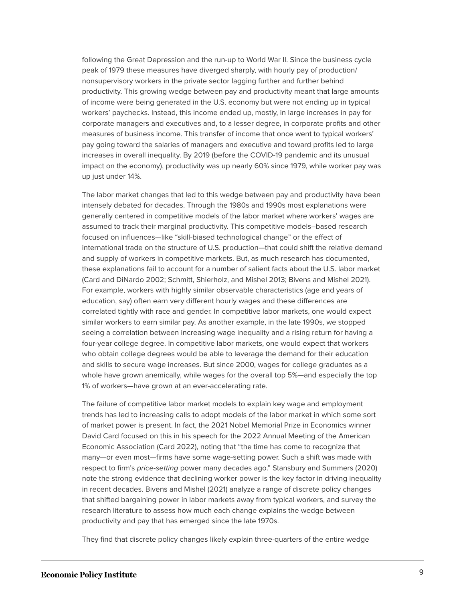following the Great Depression and the run-up to World War II. Since the business cycle peak of 1979 these measures have diverged sharply, with hourly pay of production/ nonsupervisory workers in the private sector lagging further and further behind productivity. This growing wedge between pay and productivity meant that large amounts of income were being generated in the U.S. economy but were not ending up in typical workers' paychecks. Instead, this income ended up, mostly, in large increases in pay for corporate managers and executives and, to a lesser degree, in corporate profits and other measures of business income. This transfer of income that once went to typical workers' pay going toward the salaries of managers and executive and toward profits led to large increases in overall inequality. By 2019 (before the COVID-19 pandemic and its unusual impact on the economy), productivity was up nearly 60% since 1979, while worker pay was up just under 14%.

The labor market changes that led to this wedge between pay and productivity have been intensely debated for decades. Through the 1980s and 1990s most explanations were generally centered in competitive models of the labor market where workers' wages are assumed to track their marginal productivity. This competitive models–based research focused on influences—like "skill-biased technological change" or the effect of international trade on the structure of U.S. production—that could shift the relative demand and supply of workers in competitive markets. But, as much research has documented, these explanations fail to account for a number of salient facts about the U.S. labor market (Card and DiNardo 2002; Schmitt, Shierholz, and Mishel 2013; Bivens and Mishel 2021). For example, workers with highly similar observable characteristics (age and years of education, say) often earn very different hourly wages and these differences are correlated tightly with race and gender. In competitive labor markets, one would expect similar workers to earn similar pay. As another example, in the late 1990s, we stopped seeing a correlation between increasing wage inequality and a rising return for having a four-year college degree. In competitive labor markets, one would expect that workers who obtain college degrees would be able to leverage the demand for their education and skills to secure wage increases. But since 2000, wages for college graduates as a whole have grown anemically, while wages for the overall top 5%—and especially the top 1% of workers—have grown at an ever-accelerating rate.

The failure of competitive labor market models to explain key wage and employment trends has led to increasing calls to adopt models of the labor market in which some sort of market power is present. In fact, the 2021 Nobel Memorial Prize in Economics winner David Card focused on this in his speech for the 2022 Annual Meeting of the American Economic Association (Card 2022), noting that "the time has come to recognize that many—or even most—firms have some wage-setting power. Such a shift was made with respect to firm's price-setting power many decades ago." Stansbury and Summers (2020) note the strong evidence that declining worker power is the key factor in driving inequality in recent decades. Bivens and Mishel (2021) analyze a range of discrete policy changes that shifted bargaining power in labor markets away from typical workers, and survey the research literature to assess how much each change explains the wedge between productivity and pay that has emerged since the late 1970s.

They find that discrete policy changes likely explain three-quarters of the entire wedge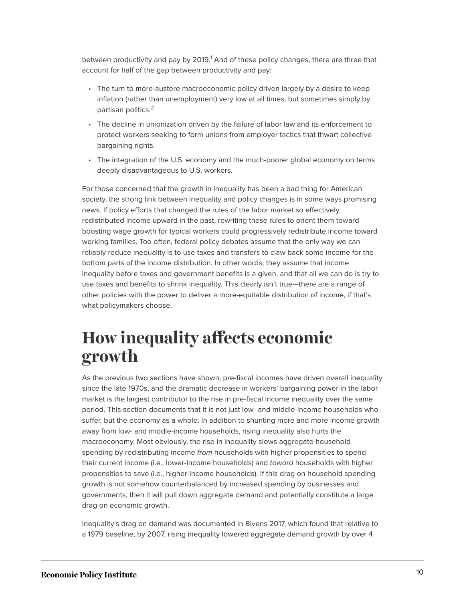<span id="page-9-1"></span>between productivity and pay by 20[1](#page-26-1)9.<sup>1</sup> And of these policy changes, there are three that account for half of the gap between productivity and pay:

- The turn to more-austere macroeconomic policy driven largely by a desire to keep inflation (rather than unemployment) very low at all times, but sometimes simply by partisan politics.<sup>[2](#page-26-2)</sup>
- <span id="page-9-2"></span>• The decline in unionization driven by the failure of labor law and its enforcement to protect workers seeking to form unions from employer tactics that thwart collective bargaining rights.
- The integration of the U.S. economy and the much-poorer global economy on terms deeply disadvantageous to U.S. workers.

For those concerned that the growth in inequality has been a bad thing for American society, the strong link between inequality and policy changes is in some ways promising news. If policy efforts that changed the rules of the labor market so effectively redistributed income upward in the past, rewriting these rules to orient them toward boosting wage growth for typical workers could progressively redistribute income toward working families. Too often, federal policy debates assume that the only way we can reliably reduce inequality is to use taxes and transfers to claw back some income for the bottom parts of the income distribution. In other words, they assume that income inequality before taxes and government benefits is a given, and that all we can do is try to use taxes and benefits to shrink inequality. This clearly isn't true—there are a range of other policies with the power to deliver a more-equitable distribution of income, if that's what policymakers choose.

# <span id="page-9-0"></span>**How inequality affects economic growth**

As the previous two sections have shown, pre-fiscal incomes have driven overall inequality since the late 1970s, and the dramatic decrease in workers' bargaining power in the labor market is the largest contributor to the rise in pre-fiscal income inequality over the same period. This section documents that it is not just low- and middle-income households who suffer, but the economy as a whole. In addition to shunting more and more income growth away from low- and middle-income households, rising inequality also hurts the macroeconomy. Most obviously, the rise in inequality slows aggregate household spending by redistributing income from households with higher propensities to spend their current income (i.e., lower-income households) and toward households with higher propensities to save (i.e., higher-income households). If this drag on household spending growth is not somehow counterbalanced by increased spending by businesses and governments, then it will pull down aggregate demand and potentially constitute a large drag on economic growth.

Inequality's drag on demand was documented in Bivens 2017, which found that relative to a 1979 baseline, by 2007, rising inequality lowered aggregate demand growth by over 4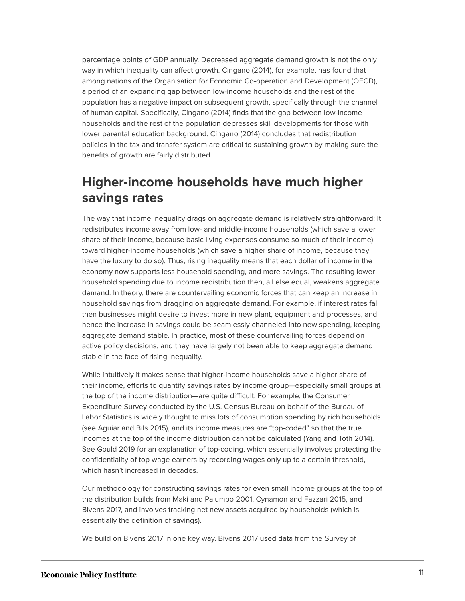percentage points of GDP annually. Decreased aggregate demand growth is not the only way in which inequality can affect growth. Cingano (2014), for example, has found that among nations of the Organisation for Economic Co-operation and Development (OECD), a period of an expanding gap between low-income households and the rest of the population has a negative impact on subsequent growth, specifically through the channel of human capital. Specifically, Cingano (2014) finds that the gap between low-income households and the rest of the population depresses skill developments for those with lower parental education background. Cingano (2014) concludes that redistribution policies in the tax and transfer system are critical to sustaining growth by making sure the benefits of growth are fairly distributed.

## **Higher-income households have much higher savings rates**

The way that income inequality drags on aggregate demand is relatively straightforward: It redistributes income away from low- and middle-income households (which save a lower share of their income, because basic living expenses consume so much of their income) toward higher-income households (which save a higher share of income, because they have the luxury to do so). Thus, rising inequality means that each dollar of income in the economy now supports less household spending, and more savings. The resulting lower household spending due to income redistribution then, all else equal, weakens aggregate demand. In theory, there are countervailing economic forces that can keep an increase in household savings from dragging on aggregate demand. For example, if interest rates fall then businesses might desire to invest more in new plant, equipment and processes, and hence the increase in savings could be seamlessly channeled into new spending, keeping aggregate demand stable. In practice, most of these countervailing forces depend on active policy decisions, and they have largely not been able to keep aggregate demand stable in the face of rising inequality.

While intuitively it makes sense that higher-income households save a higher share of their income, efforts to quantify savings rates by income group—especially small groups at the top of the income distribution—are quite difficult. For example, the Consumer Expenditure Survey conducted by the U.S. Census Bureau on behalf of the Bureau of Labor Statistics is widely thought to miss lots of consumption spending by rich households (see Aguiar and Bils 2015), and its income measures are "top-coded" so that the true incomes at the top of the income distribution cannot be calculated (Yang and Toth 2014). See Gould 2019 for an explanation of top-coding, which essentially involves protecting the confidentiality of top wage earners by recording wages only up to a certain threshold, which hasn't increased in decades.

Our methodology for constructing savings rates for even small income groups at the top of the distribution builds from Maki and Palumbo 2001, Cynamon and Fazzari 2015, and Bivens 2017, and involves tracking net new assets acquired by households (which is essentially the definition of savings).

We build on Bivens 2017 in one key way. Bivens 2017 used data from the Survey of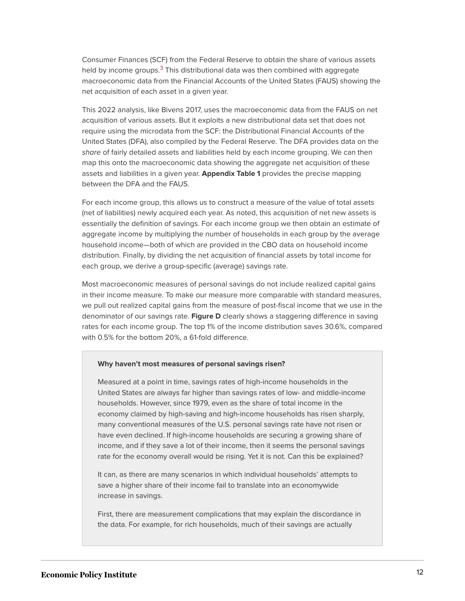<span id="page-11-0"></span>Consumer Finances (SCF) from the Federal Reserve to obtain the share of various assets held by income groups. $3$  This distributional data was then combined with aggregate macroeconomic data from the Financial Accounts of the United States (FAUS) showing the net acquisition of each asset in a given year.

This 2022 analysis, like Bivens 2017, uses the macroeconomic data from the FAUS on net acquisition of various assets. But it exploits a new distributional data set that does not require using the microdata from the SCF: the Distributional Financial Accounts of the United States (DFA), also compiled by the Federal Reserve. The DFA provides data on the share of fairly detailed assets and liabilities held by each income grouping. We can then map this onto the macroeconomic data showing the aggregate net acquisition of these assets and liabilities in a given year. **Appendix Table 1** provides the precise mapping between the DFA and the FAUS.

For each income group, this allows us to construct a measure of the value of total assets (net of liabilities) newly acquired each year. As noted, this acquisition of net new assets is essentially the definition of savings. For each income group we then obtain an estimate of aggregate income by multiplying the number of households in each group by the average household income—both of which are provided in the CBO data on household income distribution. Finally, by dividing the net acquisition of financial assets by total income for each group, we derive a group-specific (average) savings rate.

Most macroeconomic measures of personal savings do not include realized capital gains in their income measure. To make our measure more comparable with standard measures, we pull out realized capital gains from the measure of post-fiscal income that we use in the denominator of our savings rate. **Figure D** clearly shows a staggering difference in saving rates for each income group. The top 1% of the income distribution saves 30.6%, compared with 0.5% for the bottom 20%, a 61-fold difference.

#### **Why haven't most measures of personal savings risen?**

Measured at a point in time, savings rates of high-income households in the United States are always far higher than savings rates of low- and middle-income households. However, since 1979, even as the share of total income in the economy claimed by high-saving and high-income households has risen sharply, many conventional measures of the U.S. personal savings rate have not risen or have even declined. If high-income households are securing a growing share of income, and if they save a lot of their income, then it seems the personal savings rate for the economy overall would be rising. Yet it is not. Can this be explained?

It can, as there are many scenarios in which individual households' attempts to save a higher share of their income fail to translate into an economywide increase in savings.

First, there are measurement complications that may explain the discordance in the data. For example, for rich households, much of their savings are actually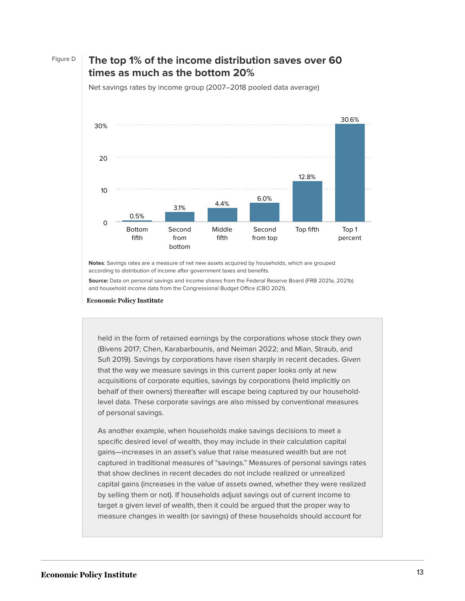### Figure D **The top 1% of the income distribution saves over 60 times as much as the bottom 20%**

Net savings rates by income group (2007–2018 pooled data average)



**Notes**: Savings rates are a measure of net new assets acquired by households, which are grouped according to distribution of income after government taxes and benefits.

**Source:** Data on personal savings and income shares from the Federal Reserve Board (FRB 2021a, 2021b) and household income data from the Congressional Budget Office (CBO 2021).

#### **Economic Policy Institute**

held in the form of retained earnings by the corporations whose stock they own (Bivens 2017; Chen, Karabarbounis, and Neiman 2022; and Mian, Straub, and Sufi 2019). Savings by corporations have risen sharply in recent decades. Given that the way we measure savings in this current paper looks only at new acquisitions of corporate equities, savings by corporations (held implicitly on behalf of their owners) thereafter will escape being captured by our householdlevel data. These corporate savings are also missed by conventional measures of personal savings.

As another example, when households make savings decisions to meet a specific desired level of wealth, they may include in their calculation capital gains—increases in an asset's value that raise measured wealth but are not captured in traditional measures of "savings." Measures of personal savings rates that show declines in recent decades do not include realized or unrealized capital gains (increases in the value of assets owned, whether they were realized by selling them or not). If households adjust savings out of current income to target a given level of wealth, then it could be argued that the proper way to measure changes in wealth (or savings) of these households should account for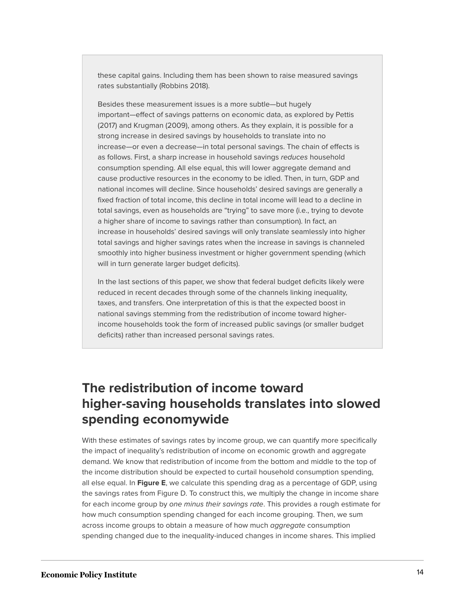these capital gains. Including them has been shown to raise measured savings rates substantially (Robbins 2018).

Besides these measurement issues is a more subtle—but hugely important—effect of savings patterns on economic data, as explored by Pettis (2017) and Krugman (2009), among others. As they explain, it is possible for a strong increase in desired savings by households to translate into no increase—or even a decrease—in total personal savings. The chain of effects is as follows. First, a sharp increase in household savings reduces household consumption spending. All else equal, this will lower aggregate demand and cause productive resources in the economy to be idled. Then, in turn, GDP and national incomes will decline. Since households' desired savings are generally a fixed fraction of total income, this decline in total income will lead to a decline in total savings, even as households are "trying" to save more (i.e., trying to devote a higher share of income to savings rather than consumption). In fact, an increase in households' desired savings will only translate seamlessly into higher total savings and higher savings rates when the increase in savings is channeled smoothly into higher business investment or higher government spending (which will in turn generate larger budget deficits).

In the last sections of this paper, we show that federal budget deficits likely were reduced in recent decades through some of the channels linking inequality, taxes, and transfers. One interpretation of this is that the expected boost in national savings stemming from the redistribution of income toward higherincome households took the form of increased public savings (or smaller budget deficits) rather than increased personal savings rates.

## **The redistribution of income toward higher-saving households translates into slowed spending economywide**

With these estimates of savings rates by income group, we can quantify more specifically the impact of inequality's redistribution of income on economic growth and aggregate demand. We know that redistribution of income from the bottom and middle to the top of the income distribution should be expected to curtail household consumption spending, all else equal. In **Figure E**, we calculate this spending drag as a percentage of GDP, using the savings rates from Figure D. To construct this, we multiply the change in income share for each income group by one minus their savings rate. This provides a rough estimate for how much consumption spending changed for each income grouping. Then, we sum across income groups to obtain a measure of how much aggregate consumption spending changed due to the inequality-induced changes in income shares. This implied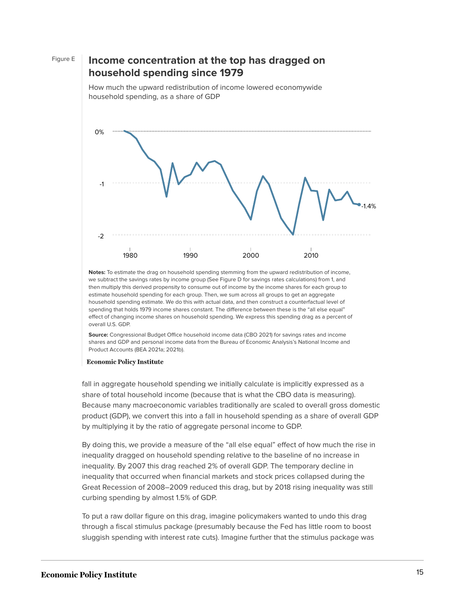## Figure E **Income concentration at the top has dragged on household spending since 1979**

How much the upward redistribution of income lowered economywide household spending, as a share of GDP -1.4% -2 -1 0% 1980 1990 2000 2010

**Notes:** To estimate the drag on household spending stemming from the upward redistribution of income, we subtract the savings rates by income group (See Figure D for savings rates calculations) from 1, and then multiply this derived propensity to consume out of income by the income shares for each group to estimate household spending for each group. Then, we sum across all groups to get an aggregate household spending estimate. We do this with actual data, and then construct a counterfactual level of spending that holds 1979 income shares constant. The difference between these is the "all else equal" effect of changing income shares on household spending. We express this spending drag as a percent of overall U.S. GDP.

**Source:** Congressional Budget Office household income data (CBO 2021) for savings rates and income shares and GDP and personal income data from the Bureau of Economic Analysis's National Income and Product Accounts (BEA 2021a; 2021b).

#### **Economic Policy Institute**

fall in aggregate household spending we initially calculate is implicitly expressed as a share of total household income (because that is what the CBO data is measuring). Because many macroeconomic variables traditionally are scaled to overall gross domestic product (GDP), we convert this into a fall in household spending as a share of overall GDP by multiplying it by the ratio of aggregate personal income to GDP.

By doing this, we provide a measure of the "all else equal" effect of how much the rise in inequality dragged on household spending relative to the baseline of no increase in inequality. By 2007 this drag reached 2% of overall GDP. The temporary decline in inequality that occurred when financial markets and stock prices collapsed during the Great Recession of 2008–2009 reduced this drag, but by 2018 rising inequality was still curbing spending by almost 1.5% of GDP.

To put a raw dollar figure on this drag, imagine policymakers wanted to undo this drag through a fiscal stimulus package (presumably because the Fed has little room to boost sluggish spending with interest rate cuts). Imagine further that the stimulus package was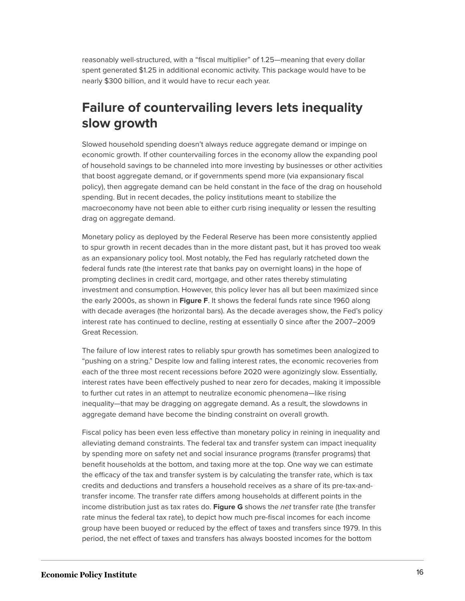reasonably well-structured, with a "fiscal multiplier" of 1.25—meaning that every dollar spent generated \$1.25 in additional economic activity. This package would have to be nearly \$300 billion, and it would have to recur each year.

## **Failure of countervailing levers lets inequality slow growth**

Slowed household spending doesn't always reduce aggregate demand or impinge on economic growth. If other countervailing forces in the economy allow the expanding pool of household savings to be channeled into more investing by businesses or other activities that boost aggregate demand, or if governments spend more (via expansionary fiscal policy), then aggregate demand can be held constant in the face of the drag on household spending. But in recent decades, the policy institutions meant to stabilize the macroeconomy have not been able to either curb rising inequality or lessen the resulting drag on aggregate demand.

Monetary policy as deployed by the Federal Reserve has been more consistently applied to spur growth in recent decades than in the more distant past, but it has proved too weak as an expansionary policy tool. Most notably, the Fed has regularly ratcheted down the federal funds rate (the interest rate that banks pay on overnight loans) in the hope of prompting declines in credit card, mortgage, and other rates thereby stimulating investment and consumption. However, this policy lever has all but been maximized since the early 2000s, as shown in **Figure F**. It shows the federal funds rate since 1960 along with decade averages (the horizontal bars). As the decade averages show, the Fed's policy interest rate has continued to decline, resting at essentially 0 since after the 2007–2009 Great Recession.

The failure of low interest rates to reliably spur growth has sometimes been analogized to "pushing on a string." Despite low and falling interest rates, the economic recoveries from each of the three most recent recessions before 2020 were agonizingly slow. Essentially, interest rates have been effectively pushed to near zero for decades, making it impossible to further cut rates in an attempt to neutralize economic phenomena—like rising inequality—that may be dragging on aggregate demand. As a result, the slowdowns in aggregate demand have become the binding constraint on overall growth.

Fiscal policy has been even less effective than monetary policy in reining in inequality and alleviating demand constraints. The federal tax and transfer system can impact inequality by spending more on safety net and social insurance programs (transfer programs) that benefit households at the bottom, and taxing more at the top. One way we can estimate the efficacy of the tax and transfer system is by calculating the transfer rate, which is tax credits and deductions and transfers a household receives as a share of its pre-tax-andtransfer income. The transfer rate differs among households at different points in the income distribution just as tax rates do. **Figure G** shows the net transfer rate (the transfer rate minus the federal tax rate), to depict how much pre-fiscal incomes for each income group have been buoyed or reduced by the effect of taxes and transfers since 1979. In this period, the net effect of taxes and transfers has always boosted incomes for the bottom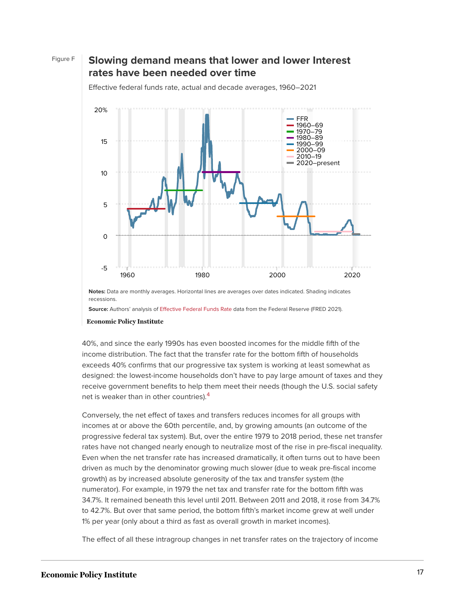### Figure F **Slowing demand means that lower and lower Interest rates have been needed over time**



Effective federal funds rate, actual and decade averages, 1960–2021

**Notes:** Data are monthly averages. Horizontal lines are averages over dates indicated. Shading indicates recessions.

**Source:** Authors' analysis of [Effective Federal Funds Rate](https://fred.stlouisfed.org/series/FEDFUNDS) data from the Federal Reserve (FRED 2021).

#### **Economic Policy Institute**

40%, and since the early 1990s has even boosted incomes for the middle fifth of the income distribution. The fact that the transfer rate for the bottom fifth of households exceeds 40% confirms that our progressive tax system is working at least somewhat as designed: the lowest-income households don't have to pay large amount of taxes and they receive government benefits to help them meet their needs (though the U.S. social safety net is weaker than in other countries).<sup>[4](#page-26-4)</sup>

<span id="page-16-0"></span>Conversely, the net effect of taxes and transfers reduces incomes for all groups with incomes at or above the 60th percentile, and, by growing amounts (an outcome of the progressive federal tax system). But, over the entire 1979 to 2018 period, these net transfer rates have not changed nearly enough to neutralize most of the rise in pre-fiscal inequality. Even when the net transfer rate has increased dramatically, it often turns out to have been driven as much by the denominator growing much slower (due to weak pre-fiscal income growth) as by increased absolute generosity of the tax and transfer system (the numerator). For example, in 1979 the net tax and transfer rate for the bottom fifth was 34.7%. It remained beneath this level until 2011. Between 2011 and 2018, it rose from 34.7% to 42.7%. But over that same period, the bottom fifth's market income grew at well under 1% per year (only about a third as fast as overall growth in market incomes).

The effect of all these intragroup changes in net transfer rates on the trajectory of income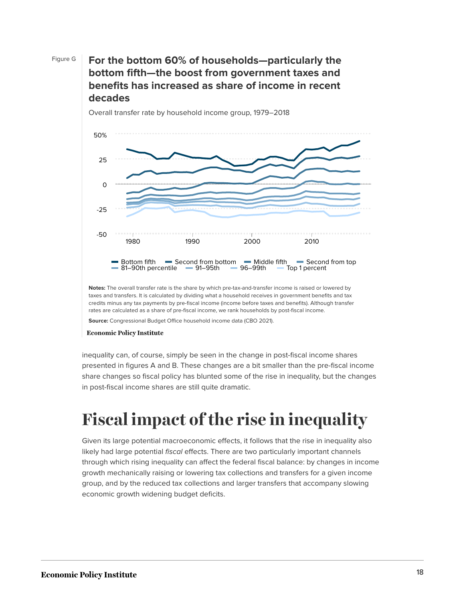Figure G **For the bottom 60% of households—particularly the bottom fifth—the boost from government taxes and benefits has increased as share of income in recent decades**



Overall transfer rate by household income group, 1979–2018

**Notes:** The overall transfer rate is the share by which pre-tax-and-transfer income is raised or lowered by taxes and transfers. It is calculated by dividing what a household receives in government benefits and tax credits minus any tax payments by pre-fiscal income (income before taxes and benefits). Although transfer rates are calculated as a share of pre-fiscal income, we rank households by post-fiscal income.

**Source:** Congressional Budget Office household income data (CBO 2021).

#### **Economic Policy Institute**

inequality can, of course, simply be seen in the change in post-fiscal income shares presented in figures A and B. These changes are a bit smaller than the pre-fiscal income share changes so fiscal policy has blunted some of the rise in inequality, but the changes in post-fiscal income shares are still quite dramatic.

# <span id="page-17-0"></span>**Fiscal impact of the rise in inequality**

Given its large potential macroeconomic effects, it follows that the rise in inequality also likely had large potential fiscal effects. There are two particularly important channels through which rising inequality can affect the federal fiscal balance: by changes in income growth mechanically raising or lowering tax collections and transfers for a given income group, and by the reduced tax collections and larger transfers that accompany slowing economic growth widening budget deficits.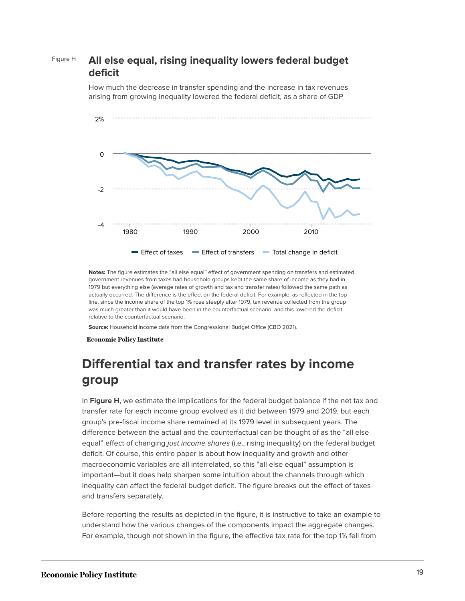### Figure H **All else equal, rising inequality lowers federal budget deficit**

How much the decrease in transfer spending and the increase in tax revenues arising from growing inequality lowered the federal deficit, as a share of GDP



**Notes:** The figure estimates the "all else equal" effect of government spending on transfers and estimated government revenues from taxes had household groups kept the same share of income as they had in 1979 but everything else (average rates of growth and tax and transfer rates) followed the same path as actually occurred. The difference is the effect on the federal deficit. For example, as reflected in the top line, since the income share of the top 1% rose steeply after 1979, tax revenue collected from the group was much greater than it would have been in the counterfactual scenario, and this lowered the deficit relative to the counterfactual scenario.

**Source:** Household income data from the Congressional Budget Office (CBO 2021).

**Economic Policy Institute** 

## **Differential tax and transfer rates by income group**

In **Figure H**, we estimate the implications for the federal budget balance if the net tax and transfer rate for each income group evolved as it did between 1979 and 2019, but each group's pre-fiscal income share remained at its 1979 level in subsequent years. The difference between the actual and the counterfactual can be thought of as the "all else equal" effect of changing just income shares (i.e., rising inequality) on the federal budget deficit. Of course, this entire paper is about how inequality and growth and other macroeconomic variables are all interrelated, so this "all else equal" assumption is important—but it does help sharpen some intuition about the channels through which inequality can affect the federal budget deficit. The figure breaks out the effect of taxes and transfers separately.

Before reporting the results as depicted in the figure, it is instructive to take an example to understand how the various changes of the components impact the aggregate changes. For example, though not shown in the figure, the effective tax rate for the top 1% fell from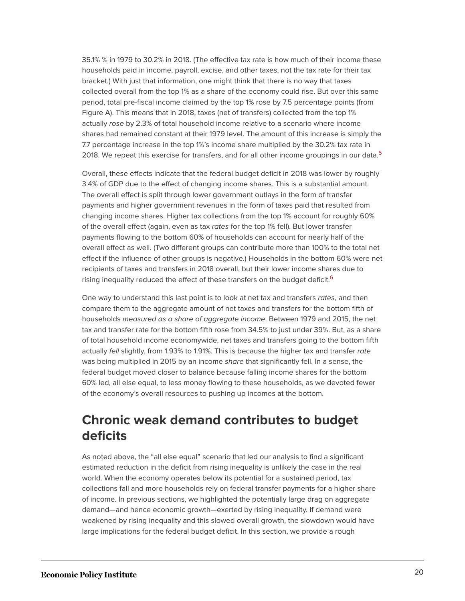35.1% % in 1979 to 30.2% in 2018. (The effective tax rate is how much of their income these households paid in income, payroll, excise, and other taxes, not the tax rate for their tax bracket.) With just that information, one might think that there is no way that taxes collected overall from the top 1% as a share of the economy could rise. But over this same period, total pre-fiscal income claimed by the top 1% rose by 7.5 percentage points (from Figure A). This means that in 2018, taxes (net of transfers) collected from the top 1% actually rose by 2.3% of total household income relative to a scenario where income shares had remained constant at their 1979 level. The amount of this increase is simply the 7.7 percentage increase in the top 1%'s income share multiplied by the 30.2% tax rate in 2018. We repeat this exercise for transfers, and for all other income groupings in our data.<sup>[5](#page-26-5)</sup>

<span id="page-19-0"></span>Overall, these effects indicate that the federal budget deficit in 2018 was lower by roughly 3.4% of GDP due to the effect of changing income shares. This is a substantial amount. The overall effect is split through lower government outlays in the form of transfer payments and higher government revenues in the form of taxes paid that resulted from changing income shares. Higher tax collections from the top 1% account for roughly 60% of the overall effect (again, even as tax rates for the top 1% fell). But lower transfer payments flowing to the bottom 60% of households can account for nearly half of the overall effect as well. (Two different groups can contribute more than 100% to the total net effect if the influence of other groups is negative.) Households in the bottom 60% were net recipients of taxes and transfers in 2018 overall, but their lower income shares due to rising inequality reduced the effect of these transfers on the budget deficit.<sup>[6](#page-26-6)</sup>

<span id="page-19-1"></span>One way to understand this last point is to look at net tax and transfers rates, and then compare them to the aggregate amount of net taxes and transfers for the bottom fifth of households measured as a share of aggregate income. Between 1979 and 2015, the net tax and transfer rate for the bottom fifth rose from 34.5% to just under 39%. But, as a share of total household income economywide, net taxes and transfers going to the bottom fifth actually fell slightly, from 1.93% to 1.91%. This is because the higher tax and transfer rate was being multiplied in 2015 by an income share that significantly fell. In a sense, the federal budget moved closer to balance because falling income shares for the bottom 60% led, all else equal, to less money flowing to these households, as we devoted fewer of the economy's overall resources to pushing up incomes at the bottom.

## **Chronic weak demand contributes to budget deficits**

As noted above, the "all else equal" scenario that led our analysis to find a significant estimated reduction in the deficit from rising inequality is unlikely the case in the real world. When the economy operates below its potential for a sustained period, tax collections fall and more households rely on federal transfer payments for a higher share of income. In previous sections, we highlighted the potentially large drag on aggregate demand—and hence economic growth—exerted by rising inequality. If demand were weakened by rising inequality and this slowed overall growth, the slowdown would have large implications for the federal budget deficit. In this section, we provide a rough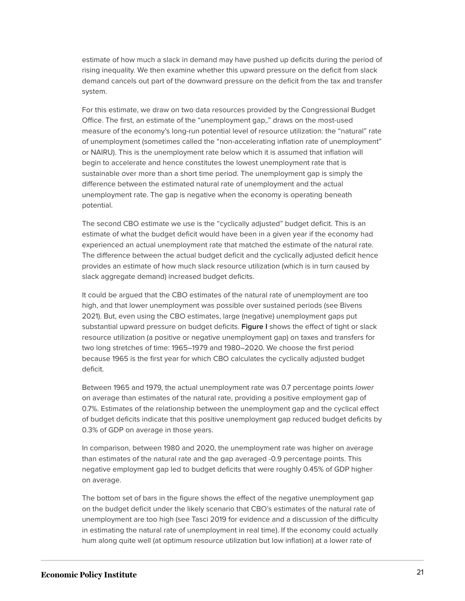estimate of how much a slack in demand may have pushed up deficits during the period of rising inequality. We then examine whether this upward pressure on the deficit from slack demand cancels out part of the downward pressure on the deficit from the tax and transfer system.

For this estimate, we draw on two data resources provided by the Congressional Budget Office. The first, an estimate of the "unemployment gap,." draws on the most-used measure of the economy's long-run potential level of resource utilization: the "natural" rate of unemployment (sometimes called the "non-accelerating inflation rate of unemployment" or NAIRU). This is the unemployment rate below which it is assumed that inflation will begin to accelerate and hence constitutes the lowest unemployment rate that is sustainable over more than a short time period. The unemployment gap is simply the difference between the estimated natural rate of unemployment and the actual unemployment rate. The gap is negative when the economy is operating beneath potential.

The second CBO estimate we use is the "cyclically adjusted" budget deficit. This is an estimate of what the budget deficit would have been in a given year if the economy had experienced an actual unemployment rate that matched the estimate of the natural rate. The difference between the actual budget deficit and the cyclically adjusted deficit hence provides an estimate of how much slack resource utilization (which is in turn caused by slack aggregate demand) increased budget deficits.

It could be argued that the CBO estimates of the natural rate of unemployment are too high, and that lower unemployment was possible over sustained periods (see Bivens 2021). But, even using the CBO estimates, large (negative) unemployment gaps put substantial upward pressure on budget deficits. **Figure I** shows the effect of tight or slack resource utilization (a positive or negative unemployment gap) on taxes and transfers for two long stretches of time: 1965–1979 and 1980–2020. We choose the first period because 1965 is the first year for which CBO calculates the cyclically adjusted budget deficit.

Between 1965 and 1979, the actual unemployment rate was 0.7 percentage points lower on average than estimates of the natural rate, providing a positive employment gap of 0.7%. Estimates of the relationship between the unemployment gap and the cyclical effect of budget deficits indicate that this positive unemployment gap reduced budget deficits by 0.3% of GDP on average in those years.

In comparison, between 1980 and 2020, the unemployment rate was higher on average than estimates of the natural rate and the gap averaged -0.9 percentage points. This negative employment gap led to budget deficits that were roughly 0.45% of GDP higher on average.

The bottom set of bars in the figure shows the effect of the negative unemployment gap on the budget deficit under the likely scenario that CBO's estimates of the natural rate of unemployment are too high (see Tasci 2019 for evidence and a discussion of the difficulty in estimating the natural rate of unemployment in real time). If the economy could actually hum along quite well (at optimum resource utilization but low inflation) at a lower rate of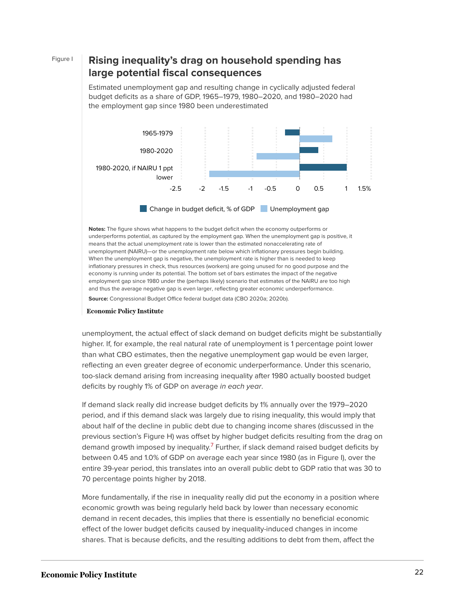### Figure I **Rising inequality's drag on household spending has large potential fiscal consequences**

Estimated unemployment gap and resulting change in cyclically adjusted federal budget deficits as a share of GDP, 1965–1979, 1980–2020, and 1980–2020 had the employment gap since 1980 been underestimated



**Notes:** The figure shows what happens to the budget deficit when the economy outperforms or underperforms potential, as captured by the employment gap. When the unemployment gap is positive, it means that the actual unemployment rate is lower than the estimated nonaccelerating rate of unemployment (NAIRU)—or the unemployment rate below which inflationary pressures begin building. When the unemployment gap is negative, the unemployment rate is higher than is needed to keep inflationary pressures in check, thus resources (workers) are going unused for no good purpose and the economy is running under its potential. The bottom set of bars estimates the impact of the negative employment gap since 1980 under the (perhaps likely) scenario that estimates of the NAIRU are too high and thus the average negative gap is even larger, reflecting greater economic underperformance.

**Source:** Congressional Budget Office federal budget data (CBO 2020a; 2020b).

#### **Economic Policy Institute**

unemployment, the actual effect of slack demand on budget deficits might be substantially higher. If, for example, the real natural rate of unemployment is 1 percentage point lower than what CBO estimates, then the negative unemployment gap would be even larger, reflecting an even greater degree of economic underperformance. Under this scenario, too-slack demand arising from increasing inequality after 1980 actually boosted budget deficits by roughly 1% of GDP on average in each year.

<span id="page-21-0"></span>If demand slack really did increase budget deficits by 1% annually over the 1979–2020 period, and if this demand slack was largely due to rising inequality, this would imply that about half of the decline in public debt due to changing income shares (discussed in the previous section's Figure H) was offset by higher budget deficits resulting from the drag on demand growth imposed by inequality.<sup>[7](#page-27-1)</sup> Further, if slack demand raised budget deficits by between 0.45 and 1.0% of GDP on average each year since 1980 (as in Figure I), over the entire 39-year period, this translates into an overall public debt to GDP ratio that was 30 to 70 percentage points higher by 2018.

More fundamentally, if the rise in inequality really did put the economy in a position where economic growth was being regularly held back by lower than necessary economic demand in recent decades, this implies that there is essentially no beneficial economic effect of the lower budget deficits caused by inequality-induced changes in income shares. That is because deficits, and the resulting additions to debt from them, affect the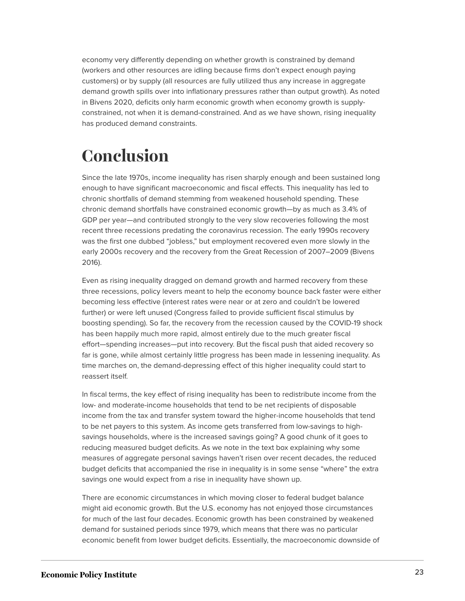economy very differently depending on whether growth is constrained by demand (workers and other resources are idling because firms don't expect enough paying customers) or by supply (all resources are fully utilized thus any increase in aggregate demand growth spills over into inflationary pressures rather than output growth). As noted in Bivens 2020, deficits only harm economic growth when economy growth is supplyconstrained, not when it is demand-constrained. And as we have shown, rising inequality has produced demand constraints.

# <span id="page-22-0"></span>**Conclusion**

Since the late 1970s, income inequality has risen sharply enough and been sustained long enough to have significant macroeconomic and fiscal effects. This inequality has led to chronic shortfalls of demand stemming from weakened household spending. These chronic demand shortfalls have constrained economic growth—by as much as 3.4% of GDP per year—and contributed strongly to the very slow recoveries following the most recent three recessions predating the coronavirus recession. The early 1990s recovery was the first one dubbed "jobless," but employment recovered even more slowly in the early 2000s recovery and the recovery from the Great Recession of 2007–2009 (Bivens 2016).

Even as rising inequality dragged on demand growth and harmed recovery from these three recessions, policy levers meant to help the economy bounce back faster were either becoming less effective (interest rates were near or at zero and couldn't be lowered further) or were left unused (Congress failed to provide sufficient fiscal stimulus by boosting spending). So far, the recovery from the recession caused by the COVID-19 shock has been happily much more rapid, almost entirely due to the much greater fiscal effort—spending increases—put into recovery. But the fiscal push that aided recovery so far is gone, while almost certainly little progress has been made in lessening inequality. As time marches on, the demand-depressing effect of this higher inequality could start to reassert itself.

In fiscal terms, the key effect of rising inequality has been to redistribute income from the low- and moderate-income households that tend to be net recipients of disposable income from the tax and transfer system toward the higher-income households that tend to be net payers to this system. As income gets transferred from low-savings to highsavings households, where is the increased savings going? A good chunk of it goes to reducing measured budget deficits. As we note in the text box explaining why some measures of aggregate personal savings haven't risen over recent decades, the reduced budget deficits that accompanied the rise in inequality is in some sense "where" the extra savings one would expect from a rise in inequality have shown up.

There are economic circumstances in which moving closer to federal budget balance might aid economic growth. But the U.S. economy has not enjoyed those circumstances for much of the last four decades. Economic growth has been constrained by weakened demand for sustained periods since 1979, which means that there was no particular economic benefit from lower budget deficits. Essentially, the macroeconomic downside of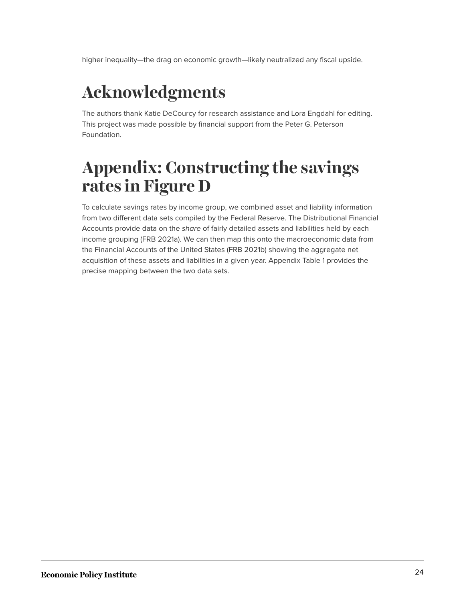higher inequality—the drag on economic growth—likely neutralized any fiscal upside.

# <span id="page-23-0"></span>**Acknowledgments**

The authors thank Katie DeCourcy for research assistance and Lora Engdahl for editing. This project was made possible by financial support from the Peter G. Peterson Foundation.

# <span id="page-23-1"></span>**Appendix: Constructing the savings rates in Figure D**

To calculate savings rates by income group, we combined asset and liability information from two different data sets compiled by the Federal Reserve. The Distributional Financial Accounts provide data on the share of fairly detailed assets and liabilities held by each income grouping (FRB 2021a). We can then map this onto the macroeconomic data from the Financial Accounts of the United States (FRB 2021b) showing the aggregate net acquisition of these assets and liabilities in a given year. Appendix Table 1 provides the precise mapping between the two data sets.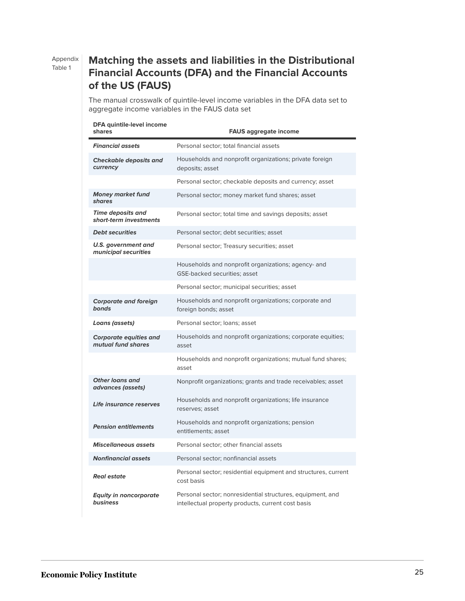Appendix Table 1

## **Matching the assets and liabilities in the Distributional Financial Accounts (DFA) and the Financial Accounts of the US (FAUS)**

The manual crosswalk of quintile-level income variables in the DFA data set to aggregate income variables in the FAUS data set

| DFA quintile-level income<br>shares                 | <b>FAUS aggregate income</b>                                                                                     |
|-----------------------------------------------------|------------------------------------------------------------------------------------------------------------------|
| <b>Financial assets</b>                             | Personal sector; total financial assets                                                                          |
| <b>Checkable deposits and</b><br>currency           | Households and nonprofit organizations; private foreign<br>deposits; asset                                       |
|                                                     | Personal sector; checkable deposits and currency; asset                                                          |
| <b>Money market fund</b><br>shares                  | Personal sector; money market fund shares; asset                                                                 |
| <b>Time deposits and</b><br>short-term investments  | Personal sector; total time and savings deposits; asset                                                          |
| <b>Debt securities</b>                              | Personal sector; debt securities; asset                                                                          |
| <b>U.S. government and</b><br>municipal securities  | Personal sector; Treasury securities; asset                                                                      |
|                                                     | Households and nonprofit organizations; agency- and<br>GSE-backed securities; asset                              |
|                                                     | Personal sector; municipal securities; asset                                                                     |
| <b>Corporate and foreign</b><br>bonds               | Households and nonprofit organizations; corporate and<br>foreign bonds; asset                                    |
| Loans (assets)                                      | Personal sector; Ioans; asset                                                                                    |
| <b>Corporate equities and</b><br>mutual fund shares | Households and nonprofit organizations; corporate equities;<br>asset                                             |
|                                                     | Households and nonprofit organizations; mutual fund shares;<br>asset                                             |
| <b>Other loans and</b><br>advances (assets)         | Nonprofit organizations; grants and trade receivables; asset                                                     |
| Life insurance reserves                             | Households and nonprofit organizations; life insurance<br>reserves; asset                                        |
| <b>Pension entitlements</b>                         | Households and nonprofit organizations; pension<br>entitlements; asset                                           |
| <b>Miscellaneous assets</b>                         | Personal sector; other financial assets                                                                          |
| <b>Nonfinancial assets</b>                          | Personal sector; nonfinancial assets                                                                             |
| <b>Real estate</b>                                  | Personal sector; residential equipment and structures, current<br>cost basis                                     |
| <b>Equity in noncorporate</b><br>business           | Personal sector; nonresidential structures, equipment, and<br>intellectual property products, current cost basis |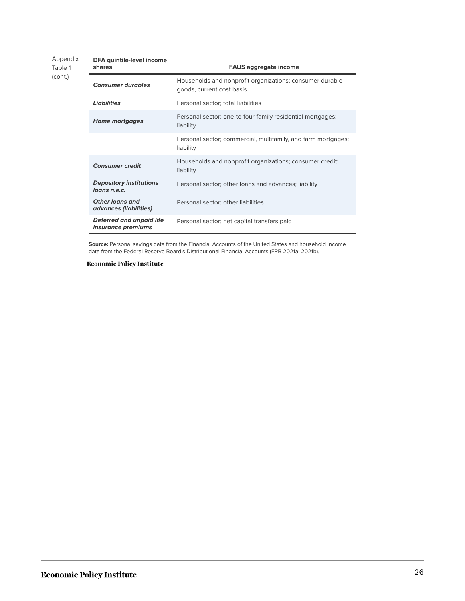#### Appendix Table 1 (cont.)

| DFA quintile-level income<br>shares                          | <b>FAUS</b> aggregate income                                                          |
|--------------------------------------------------------------|---------------------------------------------------------------------------------------|
| <b>Consumer durables</b>                                     | Households and nonprofit organizations; consumer durable<br>goods, current cost basis |
| Liabilities                                                  | Personal sector; total liabilities                                                    |
| <b>Home mortgages</b>                                        | Personal sector; one-to-four-family residential mortgages;<br>liability               |
|                                                              | Personal sector; commercial, multifamily, and farm mortgages;<br>liability            |
| <b>Consumer</b> credit                                       | Households and nonprofit organizations; consumer credit;<br>liability                 |
| <b>Depository institutions</b><br>loans n.e.c.               | Personal sector; other loans and advances; liability                                  |
| Other loans and<br>advances (liabilities)                    | Personal sector; other liabilities                                                    |
| <b>Deferred and unpaid life</b><br><i>insurance premiums</i> | Personal sector; net capital transfers paid                                           |

**Source:** Personal savings data from the Financial Accounts of the United States and household income data from the Federal Reserve Board's Distributional Financial Accounts (FRB 2021a; 2021b).

**Economic Policy Institute**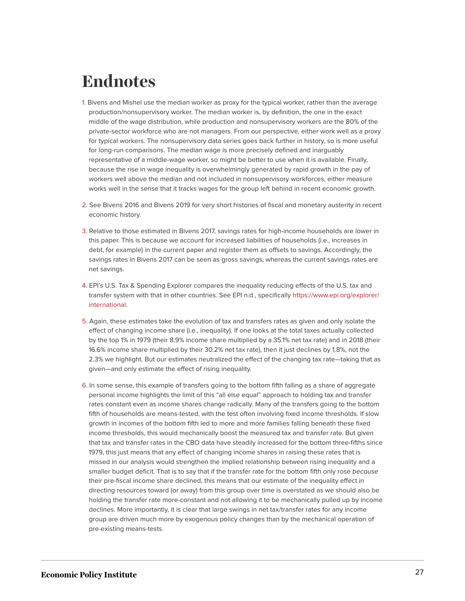# <span id="page-26-0"></span>**Endnotes**

- <span id="page-26-1"></span>[1.](#page-9-1) Bivens and Mishel use the median worker as proxy for the typical worker, rather than the average production/nonsupervisory worker. The median worker is, by definition, the one in the exact middle of the wage distribution, while production and nonsupervisory workers are the 80% of the private-sector workforce who are not managers. From our perspective, either work well as a proxy for typical workers. The nonsupervisory data series goes back further in history, so is more useful for long-run comparisons. The median wage is more precisely defined and inarguably representative of a middle-wage worker, so might be better to use when it is available. Finally, because the rise in wage inequality is overwhelmingly generated by rapid growth in the pay of workers well above the median and not included in nonsupervisory workforces, either measure works well in the sense that it tracks wages for the group left behind in recent economic growth.
- <span id="page-26-2"></span>[2.](#page-9-2) See Bivens 2016 and Bivens 2019 for very short histories of fiscal and monetary austerity in recent economic history.
- <span id="page-26-3"></span>[3.](#page-11-0) Relative to those estimated in Bivens 2017, savings rates for high-income households are lower in this paper. This is because we account for increased liabilities of households (i.e., increases in debt, for example) in the current paper and register them as offsets to savings. Accordingly, the savings rates in Bivens 2017 can be seen as gross savings, whereas the current savings rates are net savings.
- <span id="page-26-4"></span>[4.](#page-16-0) EPI's U.S. Tax & Spending Explorer compares the inequality reducing effects of the U.S. tax and transfer system with that in other countries. See EPI n.d., specifically [https://www.epi.org/explorer/](https://www.epi.org/explorer/international) [international.](https://www.epi.org/explorer/international)
- <span id="page-26-5"></span>[5.](#page-19-0) Again, these estimates take the evolution of tax and transfers rates as given and only isolate the effect of changing income share (i.e., inequality). If one looks at the total taxes actually collected by the top 1% in 1979 (their 8.9% income share multiplied by a 35.1% net tax rate) and in 2018 (their 16.6% income share multiplied by their 30.2% net tax rate), then it just declines by 1.8%, not the 2.3% we highlight. But our estimates neutralized the effect of the changing tax rate—taking that as given—and only estimate the effect of rising inequality.
- <span id="page-26-6"></span>[6.](#page-19-1) In some sense, this example of transfers going to the bottom fifth falling as a share of aggregate personal income highlights the limit of this "all else equal" approach to holding tax and transfer rates constant even as income shares change radically. Many of the transfers going to the bottom fifth of households are means-tested, with the test often involving fixed income thresholds. If slow growth in incomes of the bottom fifth led to more and more families falling beneath these fixed income thresholds, this would mechanically boost the measured tax and transfer rate. But given that tax and transfer rates in the CBO data have steadily increased for the bottom three-fifths since 1979, this just means that any effect of changing income shares in raising these rates that is missed in our analysis would strengthen the implied relationship between rising inequality and a smaller budget deficit. That is to say that if the transfer rate for the bottom fifth only rose because their pre-fiscal income share declined, this means that our estimate of the inequality effect in directing resources toward (or away) from this group over time is overstated as we should also be holding the transfer rate more-constant and not allowing it to be mechanically pulled up by income declines. More importantly, it is clear that large swings in net tax/transfer rates for any income group are driven much more by exogenous policy changes than by the mechanical operation of pre-existing means-tests.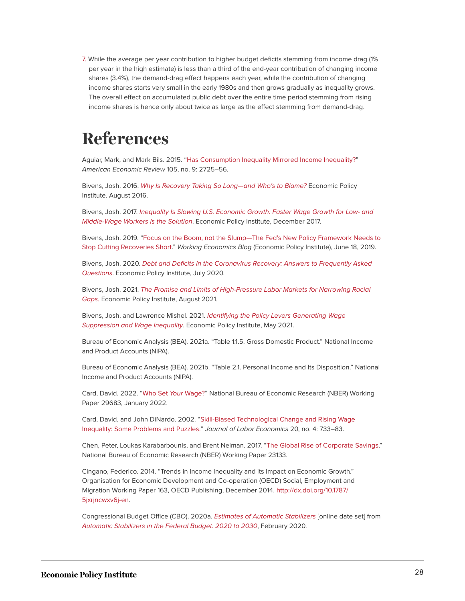<span id="page-27-1"></span>[7.](#page-21-0) While the average per year contribution to higher budget deficits stemming from income drag (1% per year in the high estimate) is less than a third of the end-year contribution of changing income shares (3.4%), the demand-drag effect happens each year, while the contribution of changing income shares starts very small in the early 1980s and then grows gradually as inequality grows. The overall effect on accumulated public debt over the entire time period stemming from rising income shares is hence only about twice as large as the effect stemming from demand-drag.

# <span id="page-27-0"></span>**References**

Aguiar, Mark, and Mark Bils. 2015. ["Has Consumption Inequality Mirrored Income Inequality?"](https://www.aeaweb.org/articles?id=10.1257/aer.20120599) American Economic Review 105, no. 9: 2725–56.

Bivens, Josh. 2016. [Why Is Recovery Taking So Long—and Who's to Blame?](https://www.epi.org/publication/why-is-recovery-taking-so-long-and-who-is-to-blame/) Economic Policy Institute. August 2016.

Bivens, Josh. 2017. [Inequality Is Slowing U.S. Economic Growth: Faster Wage Growth for Low- and](https://www.epi.org/publication/secular-stagnation/) [Middle-Wage Workers is the Solution](https://www.epi.org/publication/secular-stagnation/). Economic Policy Institute, December 2017.

Bivens, Josh. 2019. "[Focus on the Boom, not the Slump—The Fed's New Policy Framework Needs to](https://www.epi.org/blog/focus-on-the-boom-not-the-slump-the-feds-new-policy-framework-needs-to-stop-cutting-recoveries-short-epi-macroeconomics-newsletter/) [Stop Cutting Recoveries Short](https://www.epi.org/blog/focus-on-the-boom-not-the-slump-the-feds-new-policy-framework-needs-to-stop-cutting-recoveries-short-epi-macroeconomics-newsletter/)." Working Economics Blog (Economic Policy Institute), June 18, 2019.

Bivens, Josh. 2020. [Debt and Deficits in the Coronavirus Recovery: Answers to Frequently Asked](https://www.epi.org/publication/faqs-on-debt-and-deficit-and-coronavirus-recovery/) [Questions](https://www.epi.org/publication/faqs-on-debt-and-deficit-and-coronavirus-recovery/). Economic Policy Institute, July 2020.

Bivens, Josh. 2021. [The Promise and Limits of High-Pressure Labor Markets for Narrowing Racial](https://www.epi.org/publication/high-pressure-labor-markets-narrowing-racial-gaps/) [Gaps.](https://www.epi.org/publication/high-pressure-labor-markets-narrowing-racial-gaps/) Economic Policy Institute, August 2021.

Bivens, Josh, and Lawrence Mishel. 2021. [Identifying the Policy Levers Generating Wage](https://www.epi.org/unequalpower/publications/wage-suppression-inequality/) [Suppression and Wage Inequality](https://www.epi.org/unequalpower/publications/wage-suppression-inequality/). Economic Policy Institute, May 2021.

Bureau of Economic Analysis (BEA). 2021a. "Table 1.1.5. Gross Domestic Product." National Income and Product Accounts (NIPA).

Bureau of Economic Analysis (BEA). 2021b. "Table 2.1. Personal Income and Its Disposition." National Income and Product Accounts (NIPA).

Card, David. 2022. "[Who Set](https://www.nber.org/system/files/working_papers/w29683/w29683.pdf) Your Wage?" National Bureau of Economic Research (NBER) Working Paper 29683, January 2022.

Card, David, and John DiNardo. 2002. "[Skill-Biased Technological Change and Rising Wage](https://www.journals.uchicago.edu/doi/abs/10.1086/342055) [Inequality: Some Problems and Puzzles.](https://www.journals.uchicago.edu/doi/abs/10.1086/342055)" Journal of Labor Economics 20, no. 4: 733–83.

Chen, Peter, Loukas Karabarbounis, and Brent Neiman. 2017. ["The Global Rise of Corporate Savings.](https://www.nber.org/papers/w23133)" National Bureau of Economic Research (NBER) Working Paper 23133.

Cingano, Federico. 2014. "Trends in Income Inequality and its Impact on Economic Growth." Organisation for Economic Development and Co-operation (OECD) Social, Employment and Migration Working Paper 163, OECD Publishing, December 2014. [http://dx.doi.org/10.1787/](https://dx.doi.org/10.1787/5jxrjncwxv6j-en) [5jxrjncwxv6j-en.](https://dx.doi.org/10.1787/5jxrjncwxv6j-en)

Congressional Budget Office (CBO). 2020a. [Estimates of Automatic Stabilizers](https://www.cbo.gov/publication/51139) [online date set] from [Automatic Stabilizers in the Federal Budget: 2020 to 2030](https://www.cbo.gov/publication/56095), February 2020.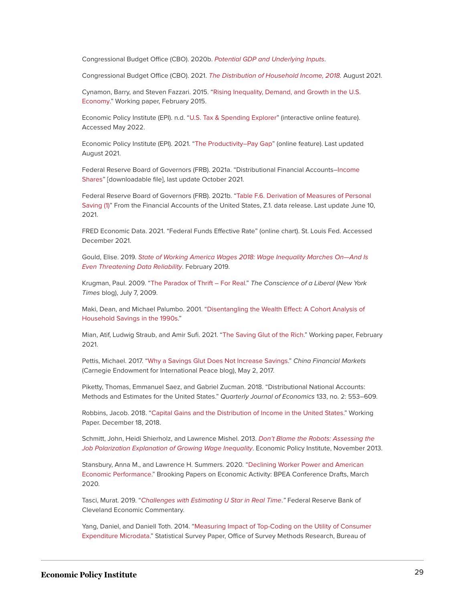Congressional Budget Office (CBO). 2020b. [Potential GDP and Underlying Inputs](https://www.cbo.gov/system/files/2019-08/51137-2019-08-potentialgdp.xlsx).

Congressional Budget Office (CBO). 2021. [The Distribution of Household Income, 2018.](https://www.cbo.gov/publication/57061) August 2021.

Cynamon, Barry, and Steven Fazzari. 2015. "[Rising Inequality, Demand, and Growth in the U.S.](https://www.ineteconomics.org/uploads/papers/Cynamon-Fazzari.pdf) [Economy.](https://www.ineteconomics.org/uploads/papers/Cynamon-Fazzari.pdf)" Working paper, February 2015.

Economic Policy Institute (EPI). n.d. "[U.S. Tax & Spending Explorer](https://www.epi.org/explorer/)" (interactive online feature). Accessed May 2022.

Economic Policy Institute (EPI). 2021. "[The Productivity–Pay Gap"](https://www.epi.org/productivity-pay-gap/) (online feature). Last updated August 2021.

Federal Reserve Board of Governors (FRB). 2021a. "Distributional Financial Accounts–[Income](https://www.federalreserve.gov/releases/z1/dataviz/dfa/distribute/chart/#range:2006.2,2021.2) [Shares](https://www.federalreserve.gov/releases/z1/dataviz/dfa/distribute/chart/#range:2006.2,2021.2)" [downloadable file], last update October 2021.

Federal Reserve Board of Governors (FRB). 2021b. ["Table F.6. Derivation of Measures of Personal](https://www.federalreserve.gov/releases/z1/20210610/html/f6.htm) [Saving \(1\)](https://www.federalreserve.gov/releases/z1/20210610/html/f6.htm)" From the Financial Accounts of the United States, Z.1. data release. Last update June 10, 2021.

FRED Economic Data. 2021. "Federal Funds Effective Rate" (online chart). St. Louis Fed. Accessed December 2021.

Gould, Elise. 2019. [State of Working America Wages 2018: Wage Inequality Marches On—And Is](https://www.epi.org/publication/state-of-american-wages-2018/) [Even Threatening Data Reliability](https://www.epi.org/publication/state-of-american-wages-2018/). February 2019.

Krugman, Paul. 2009. ["The Paradox of Thrift – For Real.](https://krugman.blogs.nytimes.com/2009/07/07/the-paradox-of-thrift-for-real/)" The Conscience of a Liberal (New York Times blog), July 7, 2009.

Maki, Dean, and Michael Palumbo. 2001. "[Disentangling the Wealth Effect: A Cohort Analysis of](http://citeseerx.ist.psu.edu/viewdoc/download?doi=10.1.1.203.3634&rep=rep1&type=pdf) [Household Savings in the 1990s](http://citeseerx.ist.psu.edu/viewdoc/download?doi=10.1.1.203.3634&rep=rep1&type=pdf)."

Mian, Atif, Ludwig Straub, and Amir Sufi. 2021. ["The Saving Glut of the Rich.](https://scholar.harvard.edu/straub/publications/saving-glut-rich-and-rise-household-debt)" Working paper, February 2021.

Pettis, Michael. 2017. "[Why a Savings Glut Does Not Increase Savings](https://carnegieendowment.org/chinafinancialmarkets/69838)." China Financial Markets (Carnegie Endowment for International Peace blog), May 2, 2017.

Piketty, Thomas, Emmanuel Saez, and Gabriel Zucman. 2018. "Distributional National Accounts: Methods and Estimates for the United States." Quarterly Journal of Economics 133, no. 2: 553–609.

Robbins, Jacob. 2018. ["Capital Gains and the Distribution of Income in the United States](https://users.nber.org/~robbinsj/jr_inequ_jmp.pdf)." Working Paper. December 18, 2018.

Schmitt, John, Heidi Shierholz, and Lawrence Mishel. 2013. [Don't Blame the Robots: Assessing the](https://www.epi.org/publication/technology-inequality-dont-blame-the-robots/) [Job Polarization Explanation of Growing Wage Inequality](https://www.epi.org/publication/technology-inequality-dont-blame-the-robots/). Economic Policy Institute, November 2013.

Stansbury, Anna M., and Lawrence H. Summers. 2020. ["Declining Worker Power and American](https://www.brookings.edu/wp-content/uploads/2020/03/Stansbury-Summers-Conference-Draft.pdf) [Economic Performance](https://www.brookings.edu/wp-content/uploads/2020/03/Stansbury-Summers-Conference-Draft.pdf)." Brooking Papers on Economic Activity: BPEA Conference Drafts, March 2020.

Tasci, Murat. 2019. "[Challenges with Estimating U Star in Real Time](https://www.clevelandfed.org/en/newsroom-and-events/publications/economic-commentary/2019-economic-commentaries/ec-201918-u-star.aspx)." Federal Reserve Bank of Cleveland Economic Commentary.

Yang, Daniel, and Daniell Toth. 2014. ["Measuring Impact of Top-Coding on the Utility of Consumer](https://www.bls.gov/osmr/research-papers/2014/st140110.htm) [Expenditure Microdata](https://www.bls.gov/osmr/research-papers/2014/st140110.htm)." Statistical Survey Paper, Office of Survey Methods Research, Bureau of